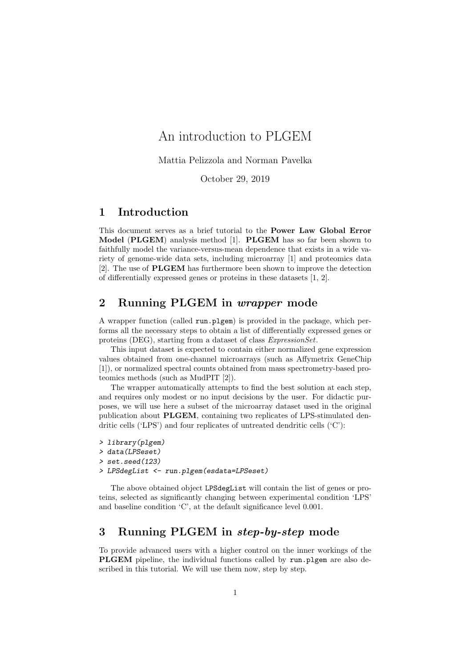# An introduction to PLGEM

Mattia Pelizzola and Norman Pavelka

October 29, 2019

### 1 Introduction

This document serves as a brief tutorial to the Power Law Global Error Model (PLGEM) analysis method [1]. PLGEM has so far been shown to faithfully model the variance-versus-mean dependence that exists in a wide variety of genome-wide data sets, including microarray [1] and proteomics data [2]. The use of PLGEM has furthermore been shown to improve the detection of differentially expressed genes or proteins in these datasets [1, 2].

# 2 Running PLGEM in wrapper mode

A wrapper function (called run.plgem) is provided in the package, which performs all the necessary steps to obtain a list of differentially expressed genes or proteins (DEG), starting from a dataset of class ExpressionSet.

This input dataset is expected to contain either normalized gene expression values obtained from one-channel microarrays (such as Affymetrix GeneChip [1]), or normalized spectral counts obtained from mass spectrometry-based proteomics methods (such as MudPIT [2]).

The wrapper automatically attempts to find the best solution at each step, and requires only modest or no input decisions by the user. For didactic purposes, we will use here a subset of the microarray dataset used in the original publication about PLGEM, containing two replicates of LPS-stimulated dendritic cells ('LPS') and four replicates of untreated dendritic cells ('C'):

```
> library(plgem)
> data(LPSeset)
> set.seed(123)
```

```
> LPSdegList <- run.plgem(esdata=LPSeset)
```
The above obtained object LPSdegList will contain the list of genes or proteins, selected as significantly changing between experimental condition 'LPS' and baseline condition 'C', at the default significance level 0.001.

# 3 Running PLGEM in step-by-step mode

To provide advanced users with a higher control on the inner workings of the PLGEM pipeline, the individual functions called by run.plgem are also described in this tutorial. We will use them now, step by step.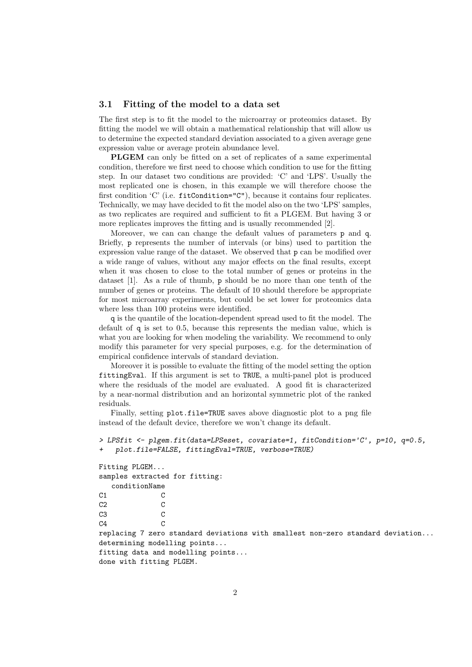#### 3.1 Fitting of the model to a data set

The first step is to fit the model to the microarray or proteomics dataset. By fitting the model we will obtain a mathematical relationship that will allow us to determine the expected standard deviation associated to a given average gene expression value or average protein abundance level.

PLGEM can only be fitted on a set of replicates of a same experimental condition, therefore we first need to choose which condition to use for the fitting step. In our dataset two conditions are provided: 'C' and 'LPS'. Usually the most replicated one is chosen, in this example we will therefore choose the first condition 'C' (i.e. fitCondition="C"), because it contains four replicates. Technically, we may have decided to fit the model also on the two 'LPS' samples, as two replicates are required and sufficient to fit a PLGEM. But having 3 or more replicates improves the fitting and is usually recommended [2].

Moreover, we can can change the default values of parameters p and q. Briefly, p represents the number of intervals (or bins) used to partition the expression value range of the dataset. We observed that p can be modified over a wide range of values, without any major effects on the final results, except when it was chosen to close to the total number of genes or proteins in the dataset [1]. As a rule of thumb, p should be no more than one tenth of the number of genes or proteins. The default of 10 should therefore be appropriate for most microarray experiments, but could be set lower for proteomics data where less than 100 proteins were identified.

q is the quantile of the location-dependent spread used to fit the model. The default of q is set to 0.5, because this represents the median value, which is what you are looking for when modeling the variability. We recommend to only modify this parameter for very special purposes, e.g. for the determination of empirical confidence intervals of standard deviation.

Moreover it is possible to evaluate the fitting of the model setting the option fittingEval. If this argument is set to TRUE, a multi-panel plot is produced where the residuals of the model are evaluated. A good fit is characterized by a near-normal distribution and an horizontal symmetric plot of the ranked residuals.

Finally, setting plot.file=TRUE saves above diagnostic plot to a png file instead of the default device, therefore we won't change its default.

```
> LPSfit <- plgem.fit(data=LPSeset, covariate=1, fitCondition='C', p=10, q=0.5,
+ plot.file=FALSE, fittingEval=TRUE, verbose=TRUE)
Fitting PLGEM...
samples extracted for fitting:
   conditionName
```

```
C1 C
C<sub>2</sub> C<sub>2</sub>
C3 C
C4 Creplacing 7 zero standard deviations with smallest non-zero standard deviation...
determining modelling points...
fitting data and modelling points...
done with fitting PLGEM.
```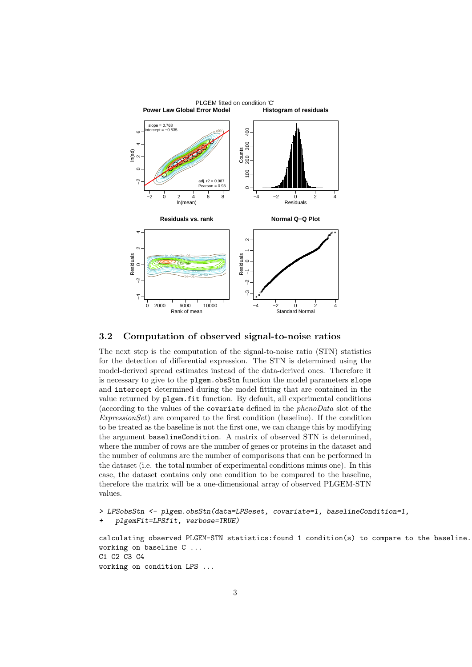

#### 3.2 Computation of observed signal-to-noise ratios

The next step is the computation of the signal-to-noise ratio (STN) statistics for the detection of differential expression. The STN is determined using the model-derived spread estimates instead of the data-derived ones. Therefore it is necessary to give to the plgem.obsStn function the model parameters slope and intercept determined during the model fitting that are contained in the value returned by plgem.fit function. By default, all experimental conditions (according to the values of the covariate defined in the phenoData slot of the  $ExpressionSet$  are compared to the first condition (baseline). If the condition to be treated as the baseline is not the first one, we can change this by modifying the argument baselineCondition. A matrix of observed STN is determined, where the number of rows are the number of genes or proteins in the dataset and the number of columns are the number of comparisons that can be performed in the dataset (i.e. the total number of experimental conditions minus one). In this case, the dataset contains only one condition to be compared to the baseline, therefore the matrix will be a one-dimensional array of observed PLGEM-STN values.

```
> LPSobsStn <- plgem.obsStn(data=LPSeset, covariate=1, baselineCondition=1,
+ plgemFit=LPSfit, verbose=TRUE)
```
calculating observed PLGEM-STN statistics:found 1 condition(s) to compare to the baseline. working on baseline C ... C1 C2 C3 C4 working on condition LPS ...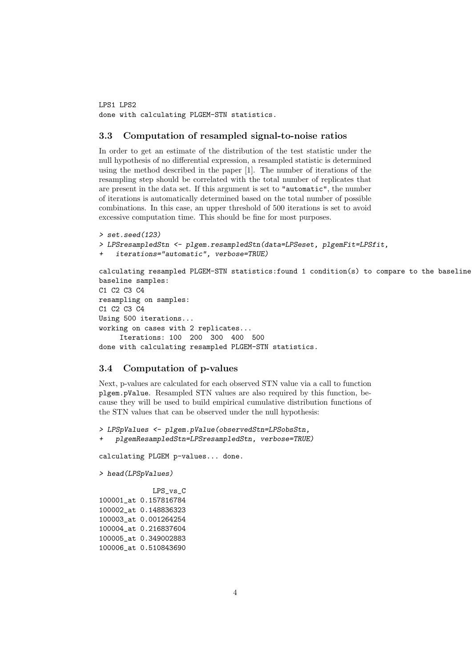LPS1 LPS2 done with calculating PLGEM-STN statistics.

#### 3.3 Computation of resampled signal-to-noise ratios

In order to get an estimate of the distribution of the test statistic under the null hypothesis of no differential expression, a resampled statistic is determined using the method described in the paper [1]. The number of iterations of the resampling step should be correlated with the total number of replicates that are present in the data set. If this argument is set to "automatic", the number of iterations is automatically determined based on the total number of possible combinations. In this case, an upper threshold of 500 iterations is set to avoid excessive computation time. This should be fine for most purposes.

```
> set.seed(123)
> LPSresampledStn <- plgem.resampledStn(data=LPSeset, plgemFit=LPSfit,
    iterations="automatic", verbose=TRUE)
calculating resampled PLGEM-STN statistics:found 1 condition(s) to compare to the baseline.
baseline samples:
C1 C2 C3 C4
resampling on samples:
C1 C2 C3 C4
Using 500 iterations...
working on cases with 2 replicates...
     Iterations: 100 200 300 400 500
done with calculating resampled PLGEM-STN statistics.
```
#### 3.4 Computation of p-values

Next, p-values are calculated for each observed STN value via a call to function plgem.pValue. Resampled STN values are also required by this function, because they will be used to build empirical cumulative distribution functions of the STN values that can be observed under the null hypothesis:

> LPSpValues <- plgem.pValue(observedStn=LPSobsStn,

```
+ plgemResampledStn=LPSresampledStn, verbose=TRUE)
```
calculating PLGEM p-values... done.

```
> head(LPSpValues)
```

```
LPS_vs_C
100001_at 0.157816784
100002_at 0.148836323
100003_at 0.001264254
100004_at 0.216837604
100005_at 0.349002883
100006_at 0.510843690
```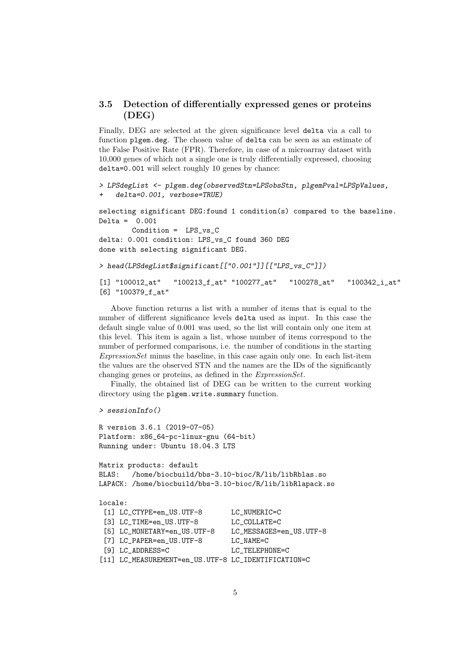### 3.5 Detection of differentially expressed genes or proteins (DEG)

Finally, DEG are selected at the given significance level delta via a call to function plgem.deg. The chosen value of delta can be seen as an estimate of the False Positive Rate (FPR). Therefore, in case of a microarray dataset with 10,000 genes of which not a single one is truly differentially expressed, choosing delta=0.001 will select roughly 10 genes by chance:

```
> LPSdegList <- plgem.deg(observedStn=LPSobsStn, plgemPval=LPSpValues,
   delta=0.001, verbose=TRUE)
```
selecting significant DEG:found 1 condition(s) compared to the baseline. Delta =  $0.001$ Condition =  $LPS_vs_C$ delta: 0.001 condition: LPS\_vs\_C found 360 DEG

done with selecting significant DEG.

```
> head(LPSdegList$significant[["0.001"]][["LPS_vs_C"]])
```
[1] "100012\_at" "100213\_f\_at" "100277\_at" "100278\_at" "100342\_i\_at" [6] "100379\_f\_at"

Above function returns a list with a number of items that is equal to the number of different significance levels delta used as input. In this case the default single value of 0.001 was used, so the list will contain only one item at this level. This item is again a list, whose number of items correspond to the number of performed comparisons, i.e. the number of conditions in the starting ExpressionSet minus the baseline, in this case again only one. In each list-item the values are the observed STN and the names are the IDs of the significantly changing genes or proteins, as defined in the ExpressionSet.

Finally, the obtained list of DEG can be written to the current working directory using the plgem.write.summary function.

```
> sessionInfo()
```

```
R version 3.6.1 (2019-07-05)
Platform: x86_64-pc-linux-gnu (64-bit)
Running under: Ubuntu 18.04.3 LTS
Matrix products: default
BLAS: /home/biocbuild/bbs-3.10-bioc/R/lib/libRblas.so
LAPACK: /home/biocbuild/bbs-3.10-bioc/R/lib/libRlapack.so
locale:
 [1] LC_CTYPE=en_US.UTF-8 LC_NUMERIC=C
 [3] LC_TIME=en_US.UTF-8 LC_COLLATE=C
 [5] LC_MONETARY=en_US.UTF-8 LC_MESSAGES=en_US.UTF-8
 [7] LC_PAPER=en_US.UTF-8 LC_NAME=C
 [9] LC_ADDRESS=C LC_TELEPHONE=C
[11] LC_MEASUREMENT=en_US.UTF-8 LC_IDENTIFICATION=C
```